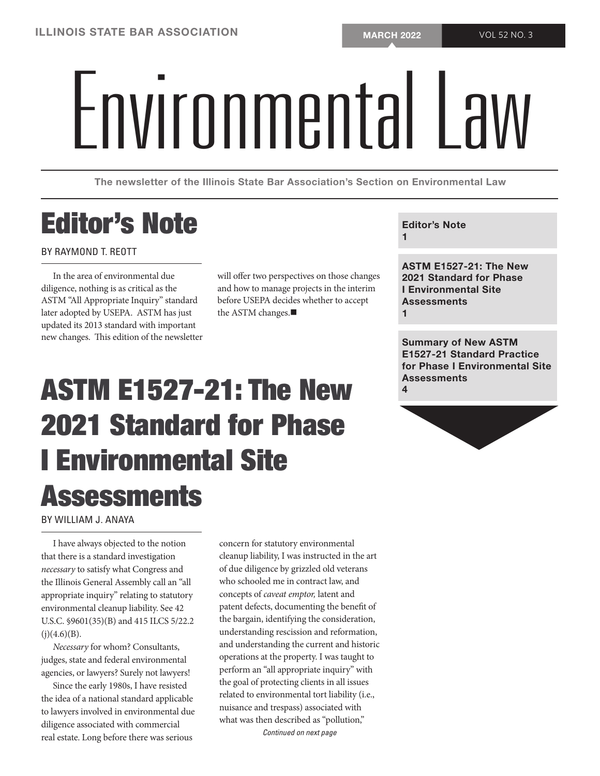# Environmental PM

The newsletter of the Illinois State Bar Association's Section on Environmental Law

### Editor's Note

#### BY RAYMOND T. REOTT

In the area of environmental due diligence, nothing is as critical as the ASTM "All Appropriate Inquiry" standard later adopted by USEPA. ASTM has just updated its 2013 standard with important new changes. This edition of the newsletter will offer two perspectives on those changes and how to manage projects in the interim before USEPA decides whether to accept the ASTM changes. $\blacksquare$ 

#### Editor's Note

1

ASTM E1527-21: The New 2021 Standard for Phase I Environmental Site **Assessments** 1

Summary of New ASTM E1527-21 Standard Practice for Phase I Environmental Site **Assessments** 4

## ASTM E1527-21: The New 2021 Standard for Phase I Environmental Site **Assessments**

BY WILLIAM J. ANAYA

I have always objected to the notion that there is a standard investigation *necessary* to satisfy what Congress and the Illinois General Assembly call an "all appropriate inquiry" relating to statutory environmental cleanup liability. See 42 U.S.C. §9601(35)(B) and 415 ILCS 5/22.2  $(i)(4.6)(B)$ .

*Necessary* for whom? Consultants, judges, state and federal environmental agencies, or lawyers? Surely not lawyers!

Since the early 1980s, I have resisted the idea of a national standard applicable to lawyers involved in environmental due diligence associated with commercial real estate. Long before there was serious

concern for statutory environmental cleanup liability, I was instructed in the art of due diligence by grizzled old veterans who schooled me in contract law, and concepts of *caveat emptor,* latent and patent defects, documenting the benefit of the bargain, identifying the consideration, understanding rescission and reformation, and understanding the current and historic operations at the property. I was taught to perform an "all appropriate inquiry" with the goal of protecting clients in all issues related to environmental tort liability (i.e., nuisance and trespass) associated with what was then described as "pollution," *Continued on next page*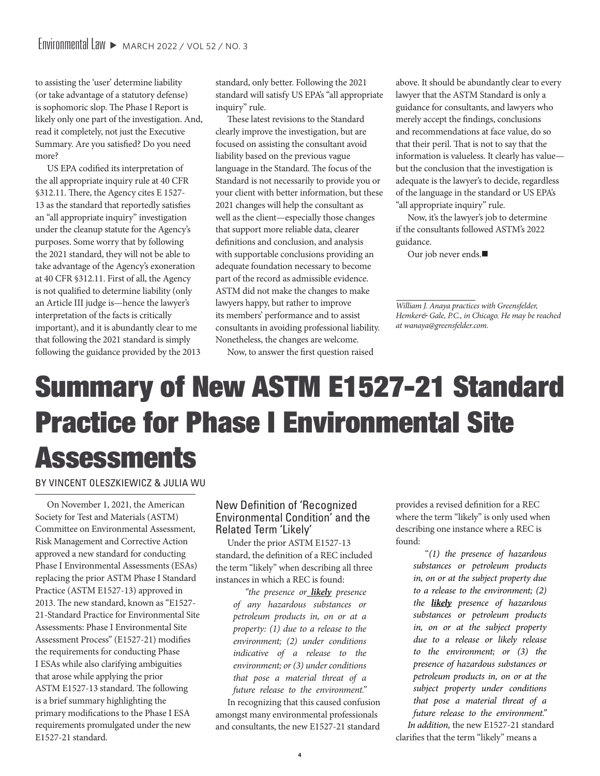to assisting the 'user' determine liability (or take advantage of a statutory defense) is sophomoric slop. The Phase I Report is likely only one part of the investigation. And, read it completely, not just the Executive Summary. Are you satisfied? Do you need more?

US EPA codified its interpretation of the all appropriate inquiry rule at 40 CFR §312.11. There, the Agency cites E 1527- 13 as the standard that reportedly satisfies an "all appropriate inquiry" investigation under the cleanup statute for the Agency's purposes. Some worry that by following the 2021 standard, they will not be able to take advantage of the Agency's exoneration at 40 CFR §312.11. First of all, the Agency is not qualified to determine liability (only an Article III judge is—hence the lawyer's interpretation of the facts is critically important), and it is abundantly clear to me that following the 2021 standard is simply following the guidance provided by the 2013 standard, only better. Following the 2021 standard will satisfy US EPA's "all appropriate inquiry" rule.

These latest revisions to the Standard clearly improve the investigation, but are focused on assisting the consultant avoid liability based on the previous vague language in the Standard. The focus of the Standard is not necessarily to provide you or your client with better information, but these 2021 changes will help the consultant as well as the client—especially those changes that support more reliable data, clearer definitions and conclusion, and analysis with supportable conclusions providing an adequate foundation necessary to become part of the record as admissible evidence. ASTM did not make the changes to make lawyers happy, but rather to improve its members' performance and to assist consultants in avoiding professional liability. Nonetheless, the changes are welcome.

above. It should be abundantly clear to every lawyer that the ASTM Standard is only a guidance for consultants, and lawyers who merely accept the findings, conclusions and recommendations at face value, do so that their peril. That is not to say that the information is valueless. It clearly has value but the conclusion that the investigation is adequate is the lawyer's to decide, regardless of the language in the standard or US EPA's "all appropriate inquiry" rule.

Now, it's the lawyer's job to determine if the consultants followed ASTM's 2022 guidance.

Our job never ends.

Now, to answer the first question raised

### Summary of New ASTM E1527-21 Standard Practice for Phase I Environmental Site **Assessments**

BY VINCENT OLESZKIEWICZ & JULIA WU

On November 1, 2021, the American Society for Test and Materials (ASTM) Committee on Environmental Assessment, Risk Management and Corrective Action approved a new standard for conducting Phase I Environmental Assessments (ESAs) replacing the prior ASTM Phase I Standard Practice (ASTM E1527-13) approved in 2013. The new standard, known as "E1527- 21-Standard Practice for Environmental Site Assessments: Phase I Environmental Site Assessment Process" (E1527-21) modifies the requirements for conducting Phase I ESAs while also clarifying ambiguities that arose while applying the prior ASTM E1527-13 standard. The following is a brief summary highlighting the primary modifications to the Phase I ESA requirements promulgated under the new E1527-21 standard.

#### New Definition of 'Recognized Environmental Condition' and the Related Term 'Likely'

Under the prior ASTM E1527-13 standard, the definition of a REC included the term "likely" when describing all three instances in which a REC is found:

*"the presence or likely presence of any hazardous substances or petroleum products in, on or at a property: (1) due to a release to the environment; (2) under conditions indicative of a release to the environment; or (3) under conditions that pose a material threat of a future release to the environment."*

In recognizing that this caused confusion amongst many environmental professionals and consultants, the new E1527-21 standard

provides a revised definition for a REC where the term "likely" is only used when describing one instance where a REC is found:

> "*(1) the presence of hazardous substances or petroleum products in, on or at the subject property due to a release to the environment; (2) the likely presence of hazardous substances or petroleum products in, on or at the subject property due to a release or likely release to the environment; or (3) the presence of hazardous substances or petroleum products in, on or at the subject property under conditions that pose a material threat of a future release to the environment."*

*In addition,* the new E1527-21 standard clarifies that the term "likely" means a

*William J. Anaya practices with Greensfelder, Hemker& Gale, P.C., in Chicago. He may be reached at wanaya@greensfelder.com.*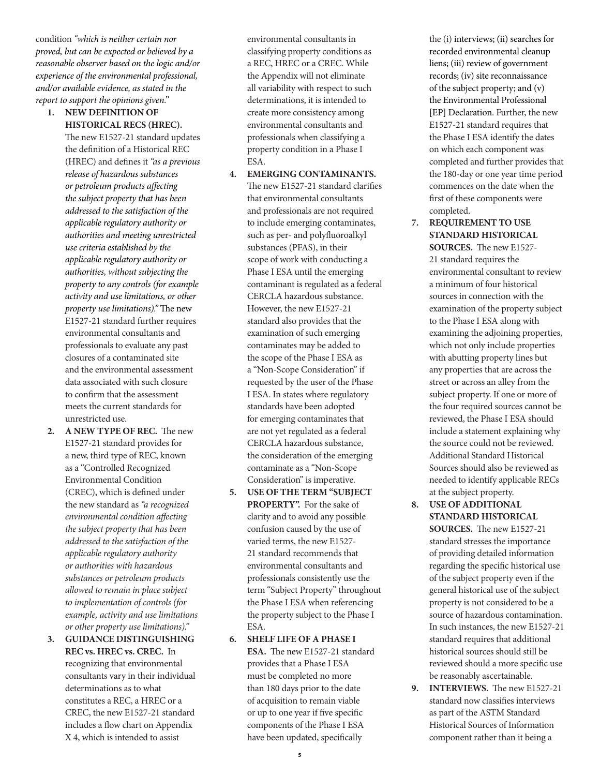condition *"which is neither certain nor proved, but can be expected or believed by a reasonable observer based on the logic and/or experience of the environmental professional, and/or available evidence, as stated in the report to support the opinions given."*

**1. NEW DEFINITION OF HISTORICAL RECS (HREC).**

The new E1527-21 standard updates the definition of a Historical REC (HREC) and defines it *"as a previous release of hazardous substances or petroleum products affecting the subject property that has been addressed to the satisfaction of the applicable regulatory authority or authorities and meeting unrestricted use criteria established by the applicable regulatory authority or authorities, without subjecting the property to any controls (for example activity and use limitations, or other property use limitations)."* The new E1527-21 standard further requires environmental consultants and professionals to evaluate any past closures of a contaminated site and the environmental assessment data associated with such closure to confirm that the assessment meets the current standards for unrestricted use.

- **2. A NEW TYPE OF REC.** The new E1527-21 standard provides for a new, third type of REC, known as a "Controlled Recognized Environmental Condition (CREC), which is defined under the new standard as *"a recognized environmental condition affecting the subject property that has been addressed to the satisfaction of the applicable regulatory authority or authorities with hazardous substances or petroleum products allowed to remain in place subject to implementation of controls (for example, activity and use limitations or other property use limitations)."*
- **3. GUIDANCE DISTINGUISHING REC vs. HREC vs. CREC.** In recognizing that environmental consultants vary in their individual determinations as to what constitutes a REC, a HREC or a CREC, the new E1527-21 standard includes a flow chart on Appendix X 4, which is intended to assist

environmental consultants in classifying property conditions as a REC, HREC or a CREC. While the Appendix will not eliminate all variability with respect to such determinations, it is intended to create more consistency among environmental consultants and professionals when classifying a property condition in a Phase I ESA.

- **4. EMERGING CONTAMINANTS.** The new E1527-21 standard clarifies that environmental consultants and professionals are not required to include emerging contaminates, such as per- and polyfluoroalkyl substances (PFAS), in their scope of work with conducting a Phase I ESA until the emerging contaminant is regulated as a federal CERCLA hazardous substance. However, the new E1527-21 standard also provides that the examination of such emerging contaminates may be added to the scope of the Phase I ESA as a "Non-Scope Consideration" if requested by the user of the Phase I ESA. In states where regulatory standards have been adopted for emerging contaminates that are not yet regulated as a federal CERCLA hazardous substance, the consideration of the emerging contaminate as a "Non-Scope Consideration" is imperative.
- **5. USE OF THE TERM "SUBJECT PROPERTY".** For the sake of clarity and to avoid any possible confusion caused by the use of varied terms, the new E1527- 21 standard recommends that environmental consultants and professionals consistently use the term "Subject Property" throughout the Phase I ESA when referencing the property subject to the Phase I ESA.
- **6. SHELF LIFE OF A PHASE I ESA.** The new E1527-21 standard provides that a Phase I ESA must be completed no more than 180 days prior to the date of acquisition to remain viable or up to one year if five specific components of the Phase I ESA have been updated, specifically

the (i) interviews; (ii) searches for recorded environmental cleanup liens; (iii) review of government records; (iv) site reconnaissance of the subject property; and (v) the Environmental Professional [EP] Declaration. Further, the new E1527-21 standard requires that the Phase I ESA identify the dates on which each component was completed and further provides that the 180-day or one year time period commences on the date when the first of these components were completed.

**7. REQUIREMENT TO USE STANDARD HISTORICAL SOURCES.** The new E1527- 21 standard requires the environmental consultant to review a minimum of four historical sources in connection with the examination of the property subject to the Phase I ESA along with examining the adjoining properties, which not only include properties with abutting property lines but any properties that are across the street or across an alley from the subject property. If one or more of the four required sources cannot be reviewed, the Phase I ESA should include a statement explaining why the source could not be reviewed. Additional Standard Historical Sources should also be reviewed as needed to identify applicable RECs at the subject property.

**8. USE OF ADDITIONAL STANDARD HISTORICAL SOURCES.** The new E1527-21 standard stresses the importance of providing detailed information regarding the specific historical use of the subject property even if the general historical use of the subject property is not considered to be a source of hazardous contamination. In such instances, the new E1527-21 standard requires that additional historical sources should still be reviewed should a more specific use be reasonably ascertainable.

**9. INTERVIEWS.** The new E1527-21 standard now classifies interviews as part of the ASTM Standard Historical Sources of Information component rather than it being a